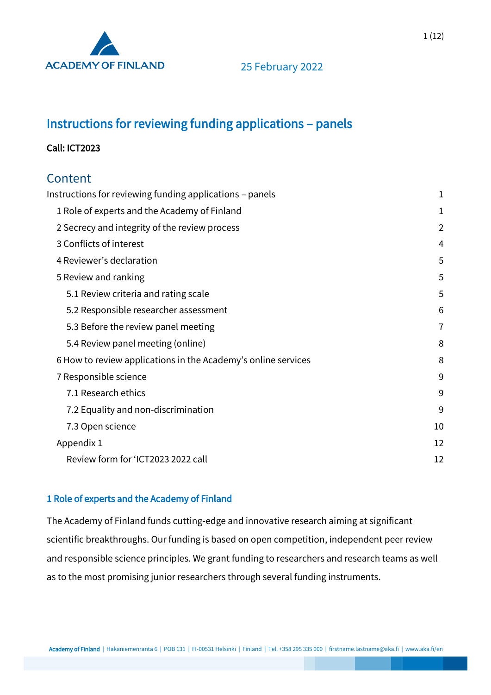

# <span id="page-0-0"></span>Instructions for reviewing funding applications – panels

### Call: ICT2023

## Content

| Instructions for reviewing funding applications - panels      | 1              |
|---------------------------------------------------------------|----------------|
| 1 Role of experts and the Academy of Finland                  | 1              |
| 2 Secrecy and integrity of the review process                 | $\overline{2}$ |
| 3 Conflicts of interest                                       | 4              |
| 4 Reviewer's declaration                                      | 5              |
| 5 Review and ranking                                          | 5              |
| 5.1 Review criteria and rating scale                          | 5              |
| 5.2 Responsible researcher assessment                         | 6              |
| 5.3 Before the review panel meeting                           | $\overline{7}$ |
| 5.4 Review panel meeting (online)                             | 8              |
| 6 How to review applications in the Academy's online services | 8              |
| 7 Responsible science                                         | 9              |
| 7.1 Research ethics                                           | 9              |
| 7.2 Equality and non-discrimination                           | 9              |
| 7.3 Open science                                              | 10             |
| Appendix 1                                                    | 12             |
| Review form for 'ICT2023 2022 call                            | 12             |

### <span id="page-0-1"></span>1 Role of experts and the Academy of Finland

The Academy of Finland funds cutting-edge and innovative research aiming at significant scientific breakthroughs. Our funding is based on open competition, independent peer review and responsible science principles. We grant funding to researchers and research teams as well as to the most promising junior researchers through several funding instruments.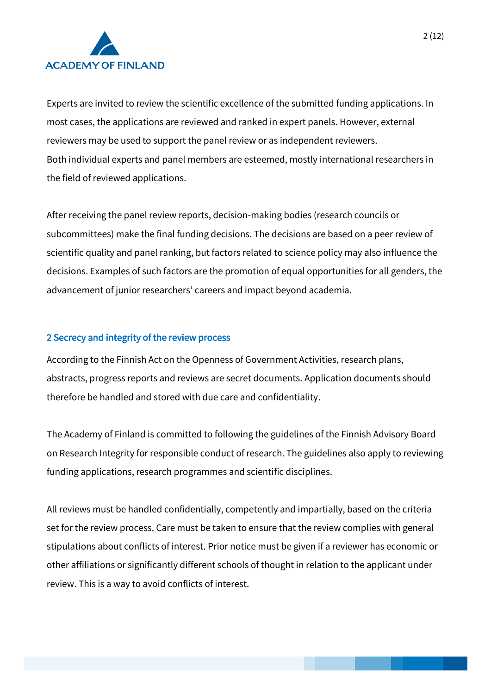

Experts are invited to review the scientific excellence of the submitted funding applications. In most cases, the applications are reviewed and ranked in expert panels. However, external reviewers may be used to support the panel review or as independent reviewers. Both individual experts and panel members are esteemed, mostly international researchers in the field of reviewed applications.

After receiving the panel review reports, decision-making bodies (research councils or subcommittees) make the final funding decisions. The decisions are based on a peer review of scientific quality and panel ranking, but factors related to science policy may also influence the decisions. Examples of such factors are the promotion of equal opportunities for all genders, the advancement of junior researchers' careers and impact beyond academia.

#### <span id="page-1-0"></span>2 Secrecy and integrity of the review process

According to the Finnish Act on the Openness of Government Activities, research plans, abstracts, progress reports and reviews are secret documents. Application documents should therefore be handled and stored with due care and confidentiality.

The Academy of Finland is committed to following the guidelines of the Finnish Advisory Board on Research Integrity for responsible conduct of research. The guidelines also apply to reviewing funding applications, research programmes and scientific disciplines.

All reviews must be handled confidentially, competently and impartially, based on the criteria set for the review process. Care must be taken to ensure that the review complies with general stipulations about conflicts of interest. Prior notice must be given if a reviewer has economic or other affiliations or significantly different schools of thought in relation to the applicant under review. This is a way to avoid conflicts of interest.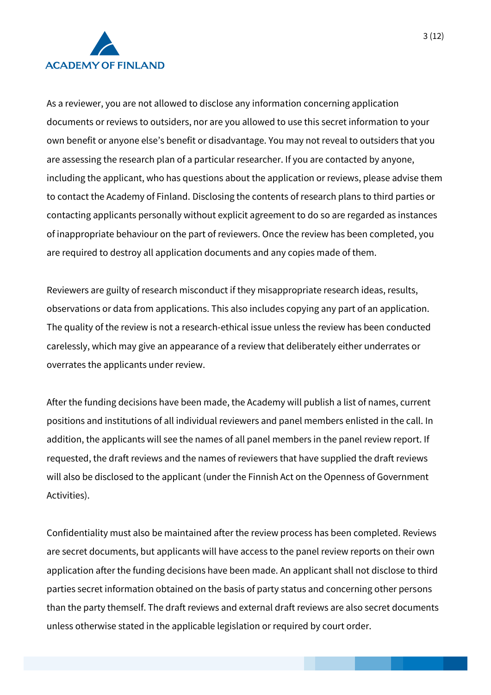

As a reviewer, you are not allowed to disclose any information concerning application documents or reviews to outsiders, nor are you allowed to use this secret information to your own benefit or anyone else's benefit or disadvantage. You may not reveal to outsiders that you are assessing the research plan of a particular researcher. If you are contacted by anyone, including the applicant, who has questions about the application or reviews, please advise them to contact the Academy of Finland. Disclosing the contents of research plans to third parties or contacting applicants personally without explicit agreement to do so are regarded as instances of inappropriate behaviour on the part of reviewers. Once the review has been completed, you are required to destroy all application documents and any copies made of them.

Reviewers are guilty of research misconduct if they misappropriate research ideas, results, observations or data from applications. This also includes copying any part of an application. The quality of the review is not a research-ethical issue unless the review has been conducted carelessly, which may give an appearance of a review that deliberately either underrates or overrates the applicants under review.

After the funding decisions have been made, the Academy will publish a list of names, current positions and institutions of all individual reviewers and panel members enlisted in the call. In addition, the applicants will see the names of all panel members in the panel review report. If requested, the draft reviews and the names of reviewers that have supplied the draft reviews will also be disclosed to the applicant (under the Finnish Act on the Openness of Government Activities).

Confidentiality must also be maintained after the review process has been completed. Reviews are secret documents, but applicants will have access to the panel review reports on their own application after the funding decisions have been made. An applicant shall not disclose to third parties secret information obtained on the basis of party status and concerning other persons than the party themself. The draft reviews and external draft reviews are also secret documents unless otherwise stated in the applicable legislation or required by court order.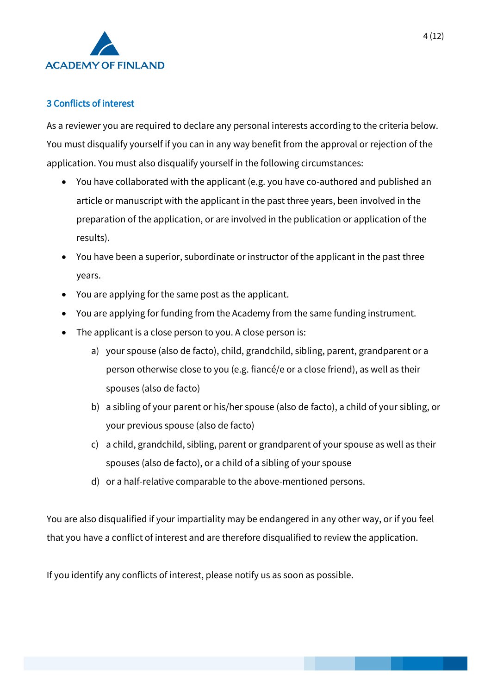

### <span id="page-3-0"></span>3 Conflicts of interest

As a reviewer you are required to declare any personal interests according to the criteria below. You must disqualify yourself if you can in any way benefit from the approval or rejection of the application. You must also disqualify yourself in the following circumstances:

- You have collaborated with the applicant (e.g. you have co-authored and published an article or manuscript with the applicant in the past three years, been involved in the preparation of the application, or are involved in the publication or application of the results).
- You have been a superior, subordinate or instructor of the applicant in the past three years.
- You are applying for the same post as the applicant.
- You are applying for funding from the Academy from the same funding instrument.
- The applicant is a close person to you. A close person is:
	- a) your spouse (also de facto), child, grandchild, sibling, parent, grandparent or a person otherwise close to you (e.g. fiancé/e or a close friend), as well as their spouses (also de facto)
	- b) a sibling of your parent or his/her spouse (also de facto), a child of your sibling, or your previous spouse (also de facto)
	- c) a child, grandchild, sibling, parent or grandparent of your spouse as well as their spouses (also de facto), or a child of a sibling of your spouse
	- d) or a half-relative comparable to the above-mentioned persons.

You are also disqualified if your impartiality may be endangered in any other way, or if you feel that you have a conflict of interest and are therefore disqualified to review the application.

If you identify any conflicts of interest, please notify us as soon as possible.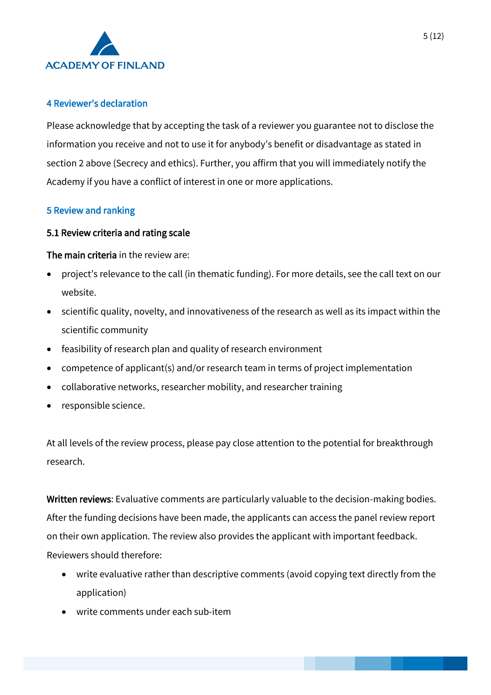

### <span id="page-4-0"></span>4 Reviewer's declaration

Please acknowledge that by accepting the task of a reviewer you guarantee not to disclose the information you receive and not to use it for anybody's benefit or disadvantage as stated in section 2 above (Secrecy and ethics). Further, you affirm that you will immediately notify the Academy if you have a conflict of interest in one or more applications.

### <span id="page-4-1"></span>5 Review and ranking

#### <span id="page-4-2"></span>5.1 Review criteria and rating scale

#### The main criteria in the review are:

- project's relevance to the call (in thematic funding). For more details, see the call text on our website.
- scientific quality, novelty, and innovativeness of the research as well as its impact within the scientific community
- feasibility of research plan and quality of research environment
- competence of applicant(s) and/or research team in terms of project implementation
- collaborative networks, researcher mobility, and researcher training
- responsible science.

At all levels of the review process, please pay close attention to the potential for breakthrough research.

Written reviews: Evaluative comments are particularly valuable to the decision-making bodies. After the funding decisions have been made, the applicants can access the panel review report on their own application. The review also provides the applicant with important feedback. Reviewers should therefore:

- write evaluative rather than descriptive comments (avoid copying text directly from the application)
- write comments under each sub-item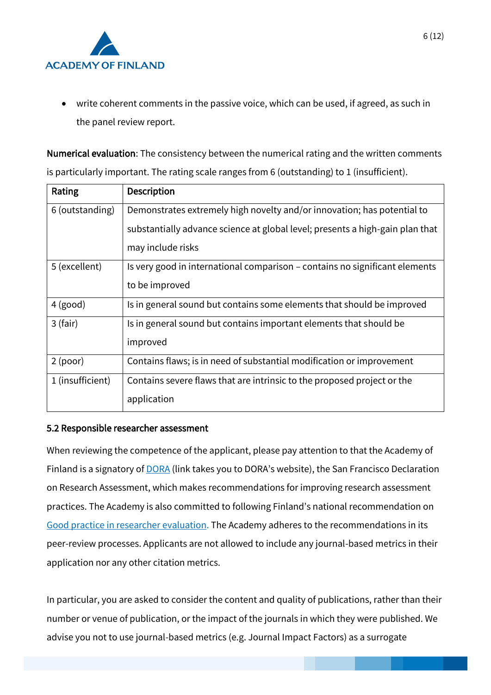

• write coherent comments in the passive voice, which can be used, if agreed, as such in the panel review report.

Numerical evaluation: The consistency between the numerical rating and the written comments is particularly important. The rating scale ranges from 6 (outstanding) to 1 (insufficient).

| Rating           | <b>Description</b>                                                            |
|------------------|-------------------------------------------------------------------------------|
| 6 (outstanding)  | Demonstrates extremely high novelty and/or innovation; has potential to       |
|                  | substantially advance science at global level; presents a high-gain plan that |
|                  | may include risks                                                             |
| 5 (excellent)    | Is very good in international comparison – contains no significant elements   |
|                  | to be improved                                                                |
| $4$ (good)       | Is in general sound but contains some elements that should be improved        |
| $3$ (fair)       | Is in general sound but contains important elements that should be            |
|                  | improved                                                                      |
| 2 (poor)         | Contains flaws; is in need of substantial modification or improvement         |
| 1 (insufficient) | Contains severe flaws that are intrinsic to the proposed project or the       |
|                  | application                                                                   |

#### <span id="page-5-0"></span>5.2 Responsible researcher assessment

When reviewing the competence of the applicant, please pay attention to that the Academy of Finland is a signatory of **DORA** (link takes you to DORA's website), the San Francisco Declaration on Research Assessment, which makes recommendations for improving research assessment practices. The Academy is also committed to following Finland's national recommendation on [Good practice in researcher evaluation.](https://avointiede.fi/sites/default/files/2020-03/responsible-evalution.pdf) The Academy adheres to the recommendations in its peer-review processes. Applicants are not allowed to include any journal-based metrics in their application nor any other citation metrics.

In particular, you are asked to consider the content and quality of publications, rather than their number or venue of publication, or the impact of the journals in which they were published. We advise you not to use journal-based metrics (e.g. Journal Impact Factors) as a surrogate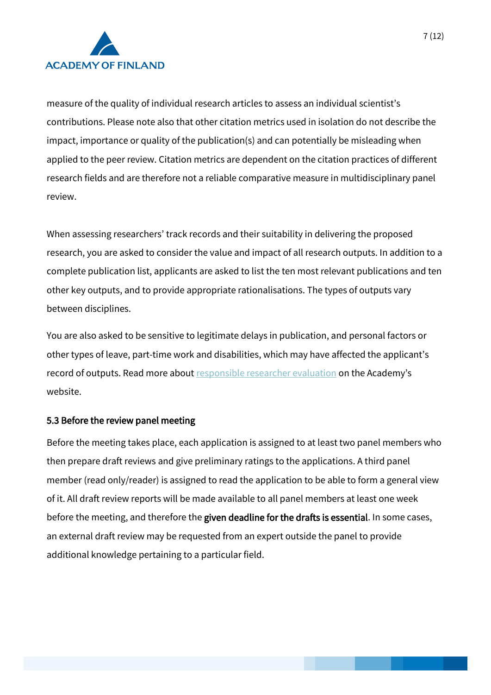

measure of the quality of individual research articles to assess an individual scientist's contributions. Please note also that other citation metrics used in isolation do not describe the impact, importance or quality of the publication(s) and can potentially be misleading when applied to the peer review. Citation metrics are dependent on the citation practices of different research fields and are therefore not a reliable comparative measure in multidisciplinary panel review.

When assessing researchers' track records and their suitability in delivering the proposed research, you are asked to consider the value and impact of all research outputs. In addition to a complete publication list, applicants are asked to list the ten most relevant publications and ten other key outputs, and to provide appropriate rationalisations. The types of outputs vary between disciplines.

You are also asked to be sensitive to legitimate delays in publication, and personal factors or other types of leave, part-time work and disabilities, which may have affected the applicant's record of outputs. Read more about [responsible researcher evaluation](https://www.aka.fi/en/research-funding/responsible-science/responsible-researcher-evaluation/) on the Academy's website.

#### <span id="page-6-0"></span>5.3 Before the review panel meeting

Before the meeting takes place, each application is assigned to at least two panel members who then prepare draft reviews and give preliminary ratings to the applications. A third panel member (read only/reader) is assigned to read the application to be able to form a general view of it. All draft review reports will be made available to all panel members at least one week before the meeting, and therefore the given deadline for the drafts is essential. In some cases, an external draft review may be requested from an expert outside the panel to provide additional knowledge pertaining to a particular field.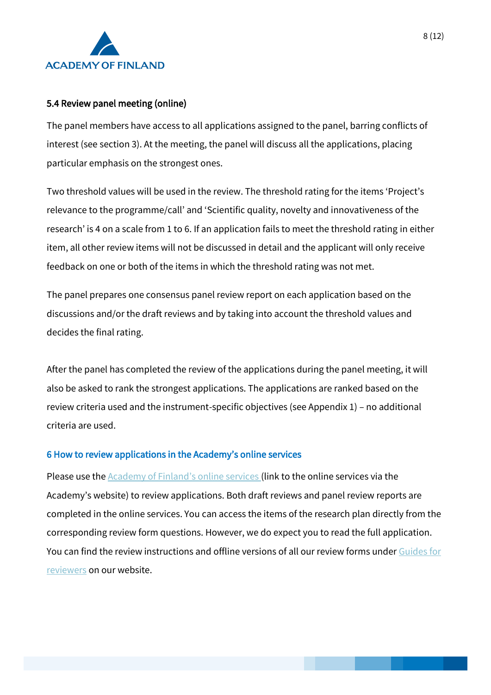

### <span id="page-7-0"></span>5.4 Review panel meeting (online)

The panel members have access to all applications assigned to the panel, barring conflicts of interest (see section 3). At the meeting, the panel will discuss all the applications, placing particular emphasis on the strongest ones.

Two threshold values will be used in the review. The threshold rating for the items 'Project's relevance to the programme/call' and 'Scientific quality, novelty and innovativeness of the research' is 4 on a scale from 1 to 6. If an application fails to meet the threshold rating in either item, all other review items will not be discussed in detail and the applicant will only receive feedback on one or both of the items in which the threshold rating was not met.

The panel prepares one consensus panel review report on each application based on the discussions and/or the draft reviews and by taking into account the threshold values and decides the final rating.

After the panel has completed the review of the applications during the panel meeting, it will also be asked to rank the strongest applications. The applications are ranked based on the review criteria used and the instrument-specific objectives (see Appendix 1) – no additional criteria are used.

#### <span id="page-7-1"></span>6 How to review applications in the Academy's online services

Please use the [Academy of Finland's online services](https://www.aka.fi/en/online-services/) (link to the online services via the Academy's website) to review applications. Both draft reviews and panel review reports are completed in the online services. You can access the items of the research plan directly from the corresponding review form questions. However, we do expect you to read the full application. You can find the review instructions and offline versions of all our review forms unde[r Guides for](http://www.aka.fi/en/review_guides)  [reviewers](http://www.aka.fi/en/review_guides) on our website.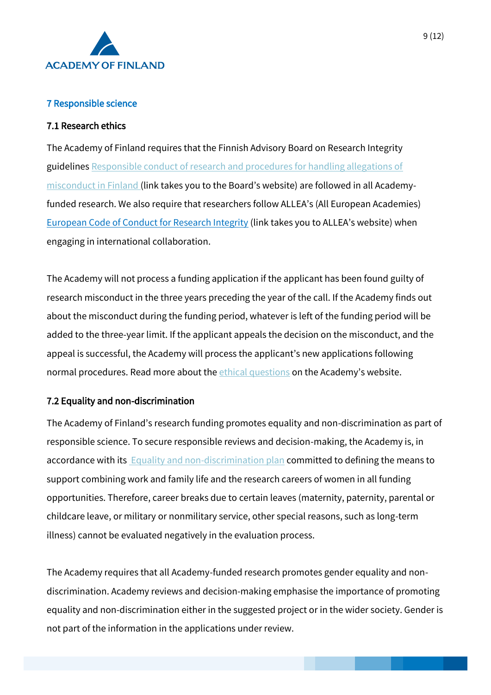

### <span id="page-8-0"></span>7 Responsible science

### <span id="page-8-1"></span>7.1 Research ethics

The Academy of Finland requires that the Finnish Advisory Board on Research Integrity guidelines [Responsible conduct of research and procedures for handling allegations of](https://www.tenk.fi/sites/tenk.fi/files/HTK_ohje_2012.pdf)  [misconduct in Finland](https://www.tenk.fi/sites/tenk.fi/files/HTK_ohje_2012.pdf) (link takes you to the Board's website) are followed in all Academyfunded research. We also require that researchers follow ALLEA's (All European Academies) [European Code of Conduct for Research Integrity](https://www.allea.org/wp-content/uploads/2017/05/ALLEA-European-Code-of-Conduct-for-Research-Integrity-2017.pdf) (link takes you to ALLEA's website) when engaging in international collaboration.

The Academy will not process a funding application if the applicant has been found guilty of research misconduct in the three years preceding the year of the call. If the Academy finds out about the misconduct during the funding period, whatever is left of the funding period will be added to the three-year limit. If the applicant appeals the decision on the misconduct, and the appeal is successful, the Academy will process the applicant's new applications following normal procedures. Read more about the *ethical questions* on the Academy's website.

### <span id="page-8-2"></span>7.2 Equality and non-discrimination

The Academy of Finland's research funding promotes equality and non-discrimination as part of responsible science. To secure responsible reviews and decision-making, the Academy is, in accordance with its **[Equality and non-discrimination plan](https://www.aka.fi/en/research-funding/responsible-science/equality-and-non-discrimination/)** committed to defining the means to support combining work and family life and the research careers of women in all funding opportunities. Therefore, career breaks due to certain leaves (maternity, paternity, parental or childcare leave, or military or nonmilitary service, other special reasons, such as long-term illness) cannot be evaluated negatively in the evaluation process.

The Academy requires that all Academy-funded research promotes gender equality and nondiscrimination. Academy reviews and decision-making emphasise the importance of promoting equality and non-discrimination either in the suggested project or in the wider society. Gender is not part of the information in the applications under review.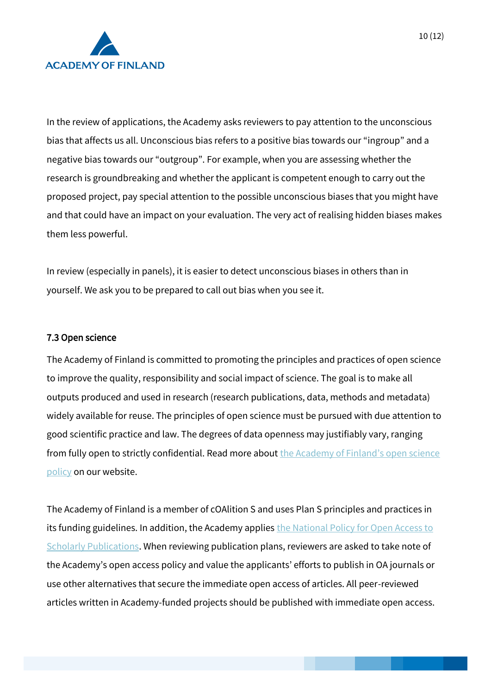

In the review of applications, the Academy asks reviewers to pay attention to the unconscious bias that affects us all. Unconscious bias refers to a positive bias towards our "ingroup" and a negative bias towards our "outgroup". For example, when you are assessing whether the research is groundbreaking and whether the applicant is competent enough to carry out the proposed project, pay special attention to the possible unconscious biases that you might have and that could have an impact on your evaluation. The very act of realising hidden biases makes them less powerful.

In review (especially in panels), it is easier to detect unconscious biases in others than in yourself. We ask you to be prepared to call out bias when you see it.

#### <span id="page-9-0"></span>7.3 Open science

The Academy of Finland is committed to promoting the principles and practices of open science to improve the quality, responsibility and social impact of science. The goal is to make all outputs produced and used in research (research publications, data, methods and metadata) widely available for reuse. The principles of open science must be pursued with due attention to good scientific practice and law. The degrees of data openness may justifiably vary, ranging from fully open to strictly confidential. Read more about the Academy of Finland's open science [policy](https://www.aka.fi/en/research-funding/responsible-science/open-science/) on our website.

The Academy of Finland is a member of cOAlition S and uses Plan S principles and practices in its funding guidelines. In addition, the Academy applie[s the National Policy for Open Access to](https://avointiede.fi/en/policies/policies-open-science-and-research-finland/policy-open-access-scholarly-publications)  [Scholarly Publications.](https://avointiede.fi/en/policies/policies-open-science-and-research-finland/policy-open-access-scholarly-publications) When reviewing publication plans, reviewers are asked to take note of the Academy's open access policy and value the applicants' efforts to publish in OA journals or use other alternatives that secure the immediate open access of articles. All peer-reviewed articles written in Academy-funded projects should be published with immediate open access.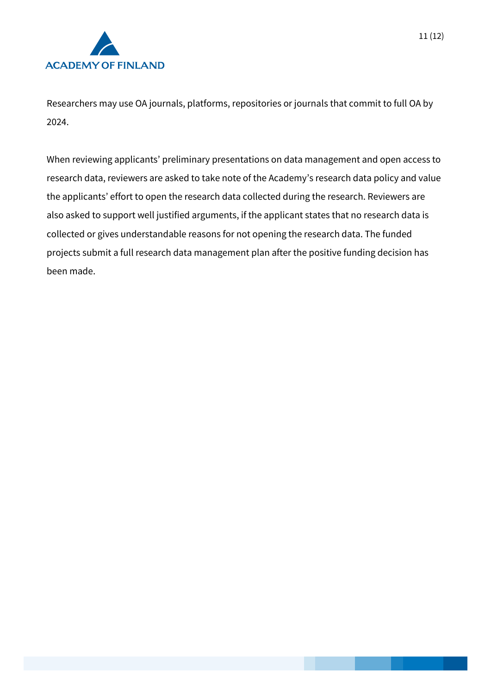

Researchers may use OA journals, platforms, repositories or journals that commit to full OA by 2024.

When reviewing applicants' preliminary presentations on data management and open access to research data, reviewers are asked to take note of the Academy's research data policy and value the applicants' effort to open the research data collected during the research. Reviewers are also asked to support well justified arguments, if the applicant states that no research data is collected or gives understandable reasons for not opening the research data. The funded projects submit a full research data management plan after the positive funding decision has been made.